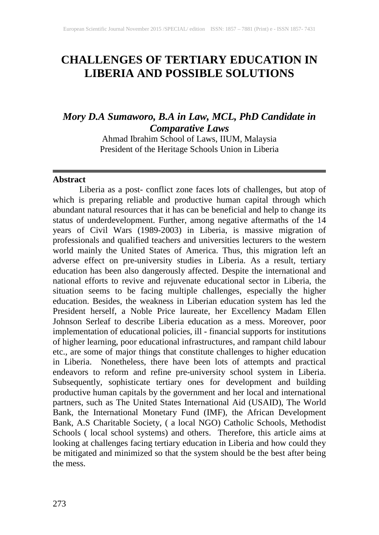# **CHALLENGES OF TERTIARY EDUCATION IN LIBERIA AND POSSIBLE SOLUTIONS**

## *Mory D.A Sumaworo, B.A in Law, MCL, PhD Candidate in Comparative Laws*

Ahmad Ibrahim School of Laws, IIUM, Malaysia President of the Heritage Schools Union in Liberia

#### **Abstract**

Liberia as a post- conflict zone faces lots of challenges, but atop of which is preparing reliable and productive human capital through which abundant natural resources that it has can be beneficial and help to change its status of underdevelopment. Further, among negative aftermaths of the 14 years of Civil Wars (1989-2003) in Liberia, is massive migration of professionals and qualified teachers and universities lecturers to the western world mainly the United States of America. Thus, this migration left an adverse effect on pre-university studies in Liberia. As a result, tertiary education has been also dangerously affected. Despite the international and national efforts to revive and rejuvenate educational sector in Liberia, the situation seems to be facing multiple challenges, especially the higher education. Besides, the weakness in Liberian education system has led the President herself, a Noble Price laureate, her Excellency Madam Ellen Johnson Serleaf to describe Liberia education as a mess. Moreover, poor implementation of educational policies, ill - financial supports for institutions of higher learning, poor educational infrastructures, and rampant child labour etc., are some of major things that constitute challenges to higher education in Liberia. Nonetheless, there have been lots of attempts and practical endeavors to reform and refine pre-university school system in Liberia. Subsequently, sophisticate tertiary ones for development and building productive human capitals by the government and her local and international partners, such as The United States International Aid (USAID), The World Bank, the International Monetary Fund (IMF), the African Development Bank, A.S Charitable Society, ( a local NGO) Catholic Schools, Methodist Schools ( local school systems) and others. Therefore, this article aims at looking at challenges facing tertiary education in Liberia and how could they be mitigated and minimized so that the system should be the best after being the mess.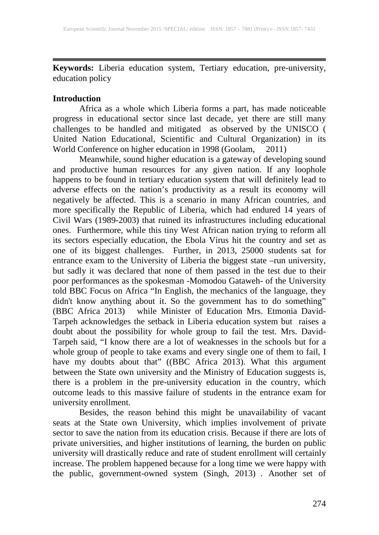**Keywords:** Liberia education system, Tertiary education, pre-university, education policy

#### **Introduction**

Africa as a whole which Liberia forms a part, has made noticeable progress in educational sector since last decade, yet there are still many challenges to be handled and mitigated as observed by the UNISCO ( United Nation Educational, Scientific and Cultural Organization) in its World Conference on higher education in 1998 (Goolam, 2011)

Meanwhile, sound higher education is a gateway of developing sound and productive human resources for any given nation. If any loophole happens to be found in tertiary education system that will definitely lead to adverse effects on the nation's productivity as a result its economy will negatively be affected. This is a scenario in many African countries, and more specifically the Republic of Liberia, which had endured 14 years of Civil Wars (1989-2003) that ruined its infrastructures including educational ones. Furthermore, while this tiny West African nation trying to reform all its sectors especially education, the Ebola Virus hit the country and set as one of its biggest challenges. Further, in 2013, 25000 students sat for entrance exam to the University of Liberia the biggest state –run university, but sadly it was declared that none of them passed in the test due to their poor performances as the spokesman -Momodou Gataweh- of the University told BBC Focus on Africa "In English, the mechanics of the language, they didn't know anything about it. So the government has to do something" (BBC Africa 2013) while Minister of Education Mrs. Etmonia David-Tarpeh acknowledges the setback in Liberia education system but raises a doubt about the possibility for whole group to fail the test. Mrs. David-Tarpeh said, "I know there are a lot of weaknesses in the schools but for a whole group of people to take exams and every single one of them to fail, I have my doubts about that" ((BBC Africa 2013). What this argument between the State own university and the Ministry of Education suggests is, there is a problem in the pre-university education in the country, which outcome leads to this massive failure of students in the entrance exam for university enrollment.

Besides, the reason behind this might be unavailability of vacant seats at the State own University, which implies involvement of private sector to save the nation from its education crisis. Because if there are lots of private universities, and higher institutions of learning, the burden on public university will drastically reduce and rate of student enrollment will certainly increase. The problem happened because for a long time we were happy with the public, government-owned system (Singh, 2013) . Another set of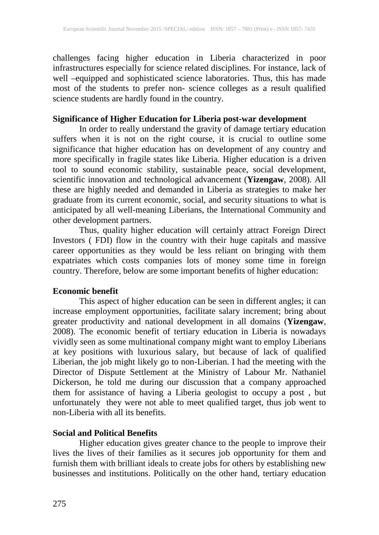challenges facing higher education in Liberia characterized in poor infrastructures especially for science related disciplines. For instance, lack of well –equipped and sophisticated science laboratories. Thus, this has made most of the students to prefer non- science colleges as a result qualified science students are hardly found in the country.

## **Significance of Higher Education for Liberia post-war development**

In order to really understand the gravity of damage tertiary education suffers when it is not on the right course, it is crucial to outline some significance that higher education has on development of any country and more specifically in fragile states like Liberia. Higher education is a driven tool to sound economic stability, sustainable peace, social development, scientific innovation and technological advancement (**Yizengaw**, 2008). All these are highly needed and demanded in Liberia as strategies to make her graduate from its current economic, social, and security situations to what is anticipated by all well-meaning Liberians, the International Community and other development partners.

Thus, quality higher education will certainly attract Foreign Direct Investors ( FDI) flow in the country with their huge capitals and massive career opportunities as they would be less reliant on bringing with them expatriates which costs companies lots of money some time in foreign country. Therefore, below are some important benefits of higher education:

#### **Economic benefit**

This aspect of higher education can be seen in different angles; it can increase employment opportunities, facilitate salary increment; bring about greater productivity and national development in all domains (**Yizengaw**, 2008). The economic benefit of tertiary education in Liberia is nowadays vividly seen as some multinational company might want to employ Liberians at key positions with luxurious salary, but because of lack of qualified Liberian, the job might likely go to non-Liberian. I had the meeting with the Director of Dispute Settlement at the Ministry of Labour Mr. Nathaniel Dickerson, he told me during our discussion that a company approached them for assistance of having a Liberia geologist to occupy a post , but unfortunately they were not able to meet qualified target, thus job went to non-Liberia with all its benefits.

#### **Social and Political Benefits**

Higher education gives greater chance to the people to improve their lives the lives of their families as it secures job opportunity for them and furnish them with brilliant ideals to create jobs for others by establishing new businesses and institutions. Politically on the other hand, tertiary education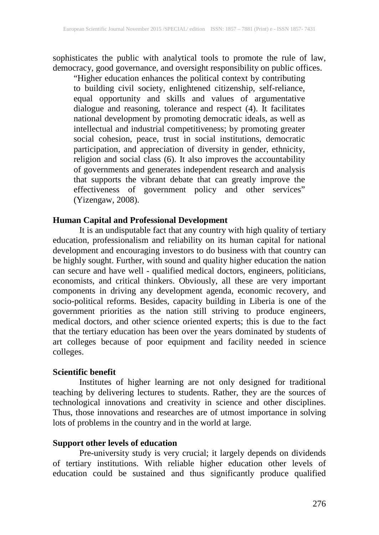sophisticates the public with analytical tools to promote the rule of law, democracy, good governance, and oversight responsibility on public offices.

"Higher education enhances the political context by contributing to building civil society, enlightened citizenship, self-reliance, equal opportunity and skills and values of argumentative dialogue and reasoning, tolerance and respect (4). It facilitates national development by promoting democratic ideals, as well as intellectual and industrial competitiveness; by promoting greater social cohesion, peace, trust in social institutions, democratic participation, and appreciation of diversity in gender, ethnicity, religion and social class (6). It also improves the accountability of governments and generates independent research and analysis that supports the vibrant debate that can greatly improve the effectiveness of government policy and other services" (Yizengaw, 2008).

## **Human Capital and Professional Development**

It is an undisputable fact that any country with high quality of tertiary education, professionalism and reliability on its human capital for national development and encouraging investors to do business with that country can be highly sought. Further, with sound and quality higher education the nation can secure and have well - qualified medical doctors, engineers, politicians, economists, and critical thinkers. Obviously, all these are very important components in driving any development agenda, economic recovery, and socio-political reforms. Besides, capacity building in Liberia is one of the government priorities as the nation still striving to produce engineers, medical doctors, and other science oriented experts; this is due to the fact that the tertiary education has been over the years dominated by students of art colleges because of poor equipment and facility needed in science colleges.

#### **Scientific benefit**

Institutes of higher learning are not only designed for traditional teaching by delivering lectures to students. Rather, they are the sources of technological innovations and creativity in science and other disciplines. Thus, those innovations and researches are of utmost importance in solving lots of problems in the country and in the world at large.

#### **Support other levels of education**

Pre-university study is very crucial; it largely depends on dividends of tertiary institutions. With reliable higher education other levels of education could be sustained and thus significantly produce qualified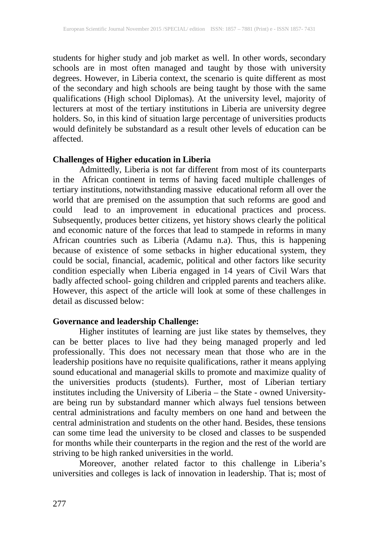students for higher study and job market as well. In other words, secondary schools are in most often managed and taught by those with university degrees. However, in Liberia context, the scenario is quite different as most of the secondary and high schools are being taught by those with the same qualifications (High school Diplomas). At the university level, majority of lecturers at most of the tertiary institutions in Liberia are university degree holders. So, in this kind of situation large percentage of universities products would definitely be substandard as a result other levels of education can be affected.

#### **Challenges of Higher education in Liberia**

Admittedly, Liberia is not far different from most of its counterparts in the African continent in terms of having faced multiple challenges of tertiary institutions, notwithstanding massive educational reform all over the world that are premised on the assumption that such reforms are good and could lead to an improvement in educational practices and process. Subsequently, produces better citizens, yet history shows clearly the political and economic nature of the forces that lead to stampede in reforms in many African countries such as Liberia (Adamu n.a). Thus, this is happening because of existence of some setbacks in higher educational system, they could be social, financial, academic, political and other factors like security condition especially when Liberia engaged in 14 years of Civil Wars that badly affected school- going children and crippled parents and teachers alike. However, this aspect of the article will look at some of these challenges in detail as discussed below:

#### **Governance and leadership Challenge:**

Higher institutes of learning are just like states by themselves, they can be better places to live had they being managed properly and led professionally. This does not necessary mean that those who are in the leadership positions have no requisite qualifications, rather it means applying sound educational and managerial skills to promote and maximize quality of the universities products (students). Further, most of Liberian tertiary institutes including the University of Liberia – the State - owned Universityare being run by substandard manner which always fuel tensions between central administrations and faculty members on one hand and between the central administration and students on the other hand. Besides, these tensions can some time lead the university to be closed and classes to be suspended for months while their counterparts in the region and the rest of the world are striving to be high ranked universities in the world.

Moreover, another related factor to this challenge in Liberia's universities and colleges is lack of innovation in leadership. That is; most of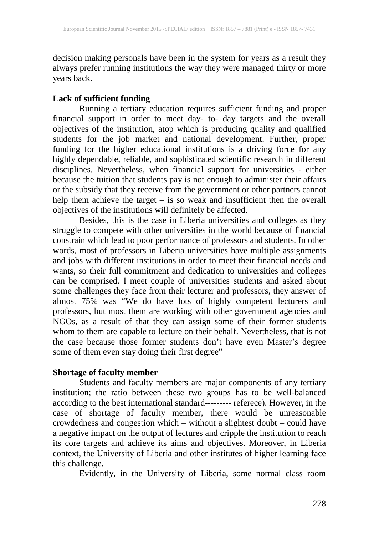decision making personals have been in the system for years as a result they always prefer running institutions the way they were managed thirty or more years back.

#### **Lack of sufficient funding**

Running a tertiary education requires sufficient funding and proper financial support in order to meet day- to- day targets and the overall objectives of the institution, atop which is producing quality and qualified students for the job market and national development. Further, proper funding for the higher educational institutions is a driving force for any highly dependable, reliable, and sophisticated scientific research in different disciplines. Nevertheless, when financial support for universities - either because the tuition that students pay is not enough to administer their affairs or the subsidy that they receive from the government or other partners cannot help them achieve the target – is so weak and insufficient then the overall objectives of the institutions will definitely be affected.

Besides, this is the case in Liberia universities and colleges as they struggle to compete with other universities in the world because of financial constrain which lead to poor performance of professors and students. In other words, most of professors in Liberia universities have multiple assignments and jobs with different institutions in order to meet their financial needs and wants, so their full commitment and dedication to universities and colleges can be comprised. I meet couple of universities students and asked about some challenges they face from their lecturer and professors, they answer of almost 75% was "We do have lots of highly competent lecturers and professors, but most them are working with other government agencies and NGOs, as a result of that they can assign some of their former students whom to them are capable to lecture on their behalf. Nevertheless, that is not the case because those former students don't have even Master's degree some of them even stay doing their first degree"

#### **Shortage of faculty member**

Students and faculty members are major components of any tertiary institution; the ratio between these two groups has to be well-balanced according to the best international standard--------- referece). However, in the case of shortage of faculty member, there would be unreasonable crowdedness and congestion which – without a slightest doubt – could have a negative impact on the output of lectures and cripple the institution to reach its core targets and achieve its aims and objectives. Moreover, in Liberia context, the University of Liberia and other institutes of higher learning face this challenge.

Evidently, in the University of Liberia, some normal class room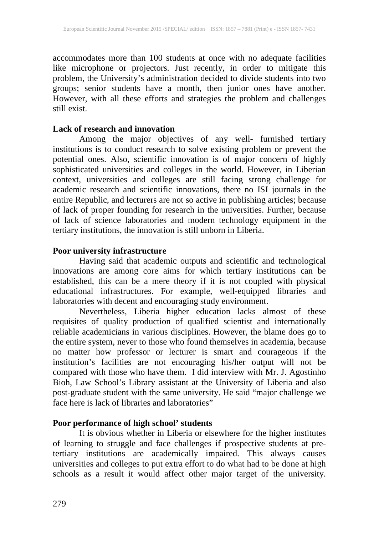accommodates more than 100 students at once with no adequate facilities like microphone or projectors. Just recently, in order to mitigate this problem, the University's administration decided to divide students into two groups; senior students have a month, then junior ones have another. However, with all these efforts and strategies the problem and challenges still exist.

#### **Lack of research and innovation**

Among the major objectives of any well- furnished tertiary institutions is to conduct research to solve existing problem or prevent the potential ones. Also, scientific innovation is of major concern of highly sophisticated universities and colleges in the world. However, in Liberian context, universities and colleges are still facing strong challenge for academic research and scientific innovations, there no ISI journals in the entire Republic, and lecturers are not so active in publishing articles; because of lack of proper founding for research in the universities. Further, because of lack of science laboratories and modern technology equipment in the tertiary institutions, the innovation is still unborn in Liberia.

#### **Poor university infrastructure**

Having said that academic outputs and scientific and technological innovations are among core aims for which tertiary institutions can be established, this can be a mere theory if it is not coupled with physical educational infrastructures. For example, well-equipped libraries and laboratories with decent and encouraging study environment.

Nevertheless, Liberia higher education lacks almost of these requisites of quality production of qualified scientist and internationally reliable academicians in various disciplines. However, the blame does go to the entire system, never to those who found themselves in academia, because no matter how professor or lecturer is smart and courageous if the institution's facilities are not encouraging his/her output will not be compared with those who have them. I did interview with Mr. J. Agostinho Bioh, Law School's Library assistant at the University of Liberia and also post-graduate student with the same university. He said "major challenge we face here is lack of libraries and laboratories"

#### **Poor performance of high school' students**

It is obvious whether in Liberia or elsewhere for the higher institutes of learning to struggle and face challenges if prospective students at pretertiary institutions are academically impaired. This always causes universities and colleges to put extra effort to do what had to be done at high schools as a result it would affect other major target of the university.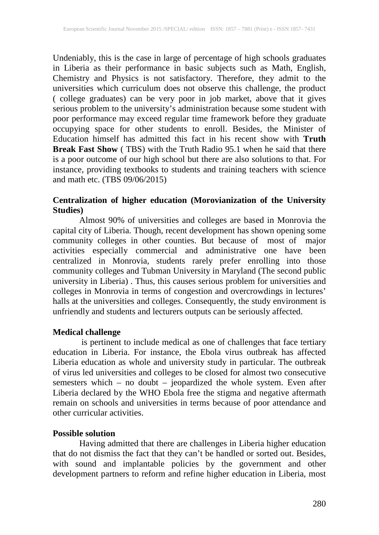Undeniably, this is the case in large of percentage of high schools graduates in Liberia as their performance in basic subjects such as Math, English, Chemistry and Physics is not satisfactory. Therefore, they admit to the universities which curriculum does not observe this challenge, the product ( college graduates) can be very poor in job market, above that it gives serious problem to the university's administration because some student with poor performance may exceed regular time framework before they graduate occupying space for other students to enroll. Besides, the Minister of Education himself has admitted this fact in his recent show with **Truth Break Fast Show** (TBS) with the Truth Radio 95.1 when he said that there is a poor outcome of our high school but there are also solutions to that. For instance, providing textbooks to students and training teachers with science and math etc. (TBS 09/06/2015)

#### **Centralization of higher education (Morovianization of the University Studies)**

Almost 90% of universities and colleges are based in Monrovia the capital city of Liberia. Though, recent development has shown opening some community colleges in other counties. But because of most of major activities especially commercial and administrative one have been centralized in Monrovia, students rarely prefer enrolling into those community colleges and Tubman University in Maryland (The second public university in Liberia) . Thus, this causes serious problem for universities and colleges in Monrovia in terms of congestion and overcrowdings in lectures' halls at the universities and colleges. Consequently, the study environment is unfriendly and students and lecturers outputs can be seriously affected.

#### **Medical challenge**

is pertinent to include medical as one of challenges that face tertiary education in Liberia. For instance, the Ebola virus outbreak has affected Liberia education as whole and university study in particular. The outbreak of virus led universities and colleges to be closed for almost two consecutive semesters which – no doubt – jeopardized the whole system. Even after Liberia declared by the WHO Ebola free the stigma and negative aftermath remain on schools and universities in terms because of poor attendance and other curricular activities.

#### **Possible solution**

Having admitted that there are challenges in Liberia higher education that do not dismiss the fact that they can't be handled or sorted out. Besides, with sound and implantable policies by the government and other development partners to reform and refine higher education in Liberia, most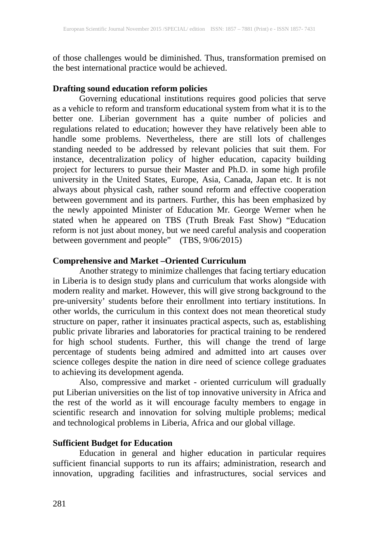of those challenges would be diminished. Thus, transformation premised on the best international practice would be achieved.

## **Drafting sound education reform policies**

Governing educational institutions requires good policies that serve as a vehicle to reform and transform educational system from what it is to the better one. Liberian government has a quite number of policies and regulations related to education; however they have relatively been able to handle some problems. Nevertheless, there are still lots of challenges standing needed to be addressed by relevant policies that suit them. For instance, decentralization policy of higher education, capacity building project for lecturers to pursue their Master and Ph.D. in some high profile university in the United States, Europe, Asia, Canada, Japan etc. It is not always about physical cash, rather sound reform and effective cooperation between government and its partners. Further, this has been emphasized by the newly appointed Minister of Education Mr. George Werner when he stated when he appeared on TBS (Truth Break Fast Show) "Education reform is not just about money, but we need careful analysis and cooperation between government and people" (TBS, 9/06/2015)

## **Comprehensive and Market –Oriented Curriculum**

Another strategy to minimize challenges that facing tertiary education in Liberia is to design study plans and curriculum that works alongside with modern reality and market. However, this will give strong background to the pre-university' students before their enrollment into tertiary institutions. In other worlds, the curriculum in this context does not mean theoretical study structure on paper, rather it insinuates practical aspects, such as, establishing public private libraries and laboratories for practical training to be rendered for high school students. Further, this will change the trend of large percentage of students being admired and admitted into art causes over science colleges despite the nation in dire need of science college graduates to achieving its development agenda.

Also, compressive and market - oriented curriculum will gradually put Liberian universities on the list of top innovative university in Africa and the rest of the world as it will encourage faculty members to engage in scientific research and innovation for solving multiple problems; medical and technological problems in Liberia, Africa and our global village.

#### **Sufficient Budget for Education**

Education in general and higher education in particular requires sufficient financial supports to run its affairs; administration, research and innovation, upgrading facilities and infrastructures, social services and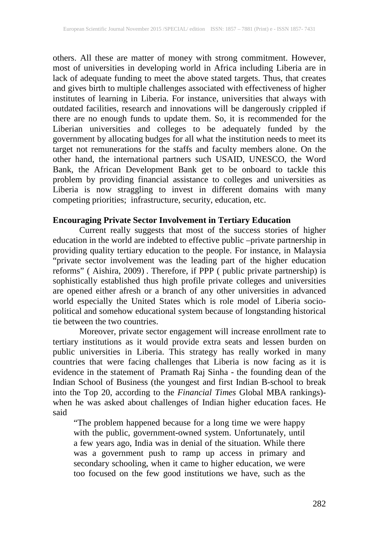others. All these are matter of money with strong commitment. However, most of universities in developing world in Africa including Liberia are in lack of adequate funding to meet the above stated targets. Thus, that creates and gives birth to multiple challenges associated with effectiveness of higher institutes of learning in Liberia. For instance, universities that always with outdated facilities, research and innovations will be dangerously crippled if there are no enough funds to update them. So, it is recommended for the Liberian universities and colleges to be adequately funded by the government by allocating budges for all what the institution needs to meet its target not remunerations for the staffs and faculty members alone. On the other hand, the international partners such USAID, UNESCO, the Word Bank, the African Development Bank get to be onboard to tackle this problem by providing financial assistance to colleges and universities as Liberia is now straggling to invest in different domains with many competing priorities; infrastructure, security, education, etc.

## **Encouraging Private Sector Involvement in Tertiary Education**

Current really suggests that most of the success stories of higher education in the world are indebted to effective public –private partnership in providing quality tertiary education to the people. For instance, in Malaysia "private sector involvement was the leading part of the higher education reforms" ( Aishira, 2009) . Therefore, if PPP ( public private partnership) is sophistically established thus high profile private colleges and universities are opened either afresh or a branch of any other universities in advanced world especially the United States which is role model of Liberia sociopolitical and somehow educational system because of longstanding historical tie between the two countries.

Moreover, private sector engagement will increase enrollment rate to tertiary institutions as it would provide extra seats and lessen burden on public universities in Liberia. This strategy has really worked in many countries that were facing challenges that Liberia is now facing as it is evidence in the statement of Pramath Raj Sinha - the founding dean of the Indian School of Business (the youngest and first Indian B-school to break into the Top 20, according to the *Financial Times* Global MBA rankings) when he was asked about challenges of Indian higher education faces. He said

"The problem happened because for a long time we were happy with the public, government-owned system. Unfortunately, until a few years ago, India was in denial of the situation. While there was a government push to ramp up access in primary and secondary schooling, when it came to higher education, we were too focused on the few good institutions we have, such as the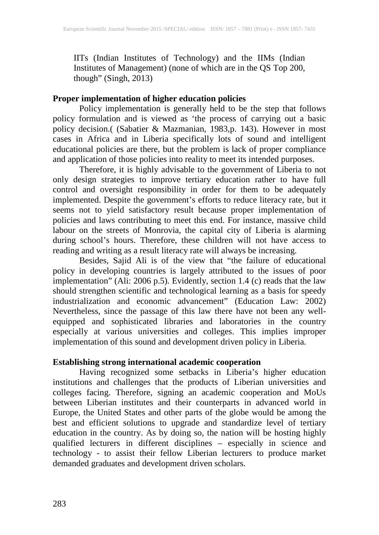IITs (Indian Institutes of Technology) and the IIMs (Indian Institutes of Management) (none of which are in the QS Top 200, though" (Singh,  $2013$ )

### **Proper implementation of higher education policies**

Policy implementation is generally held to be the step that follows policy formulation and is viewed as 'the process of carrying out a basic policy decision.( (Sabatier & Mazmanian, 1983,p. 143). However in most cases in Africa and in Liberia specifically lots of sound and intelligent educational policies are there, but the problem is lack of proper compliance and application of those policies into reality to meet its intended purposes.

Therefore, it is highly advisable to the government of Liberia to not only design strategies to improve tertiary education rather to have full control and oversight responsibility in order for them to be adequately implemented. Despite the government's efforts to reduce literacy rate, but it seems not to yield satisfactory result because proper implementation of policies and laws contributing to meet this end. For instance, massive child labour on the streets of Monrovia, the capital city of Liberia is alarming during school's hours. Therefore, these children will not have access to reading and writing as a result literacy rate will always be increasing.

Besides, Sajid Ali is of the view that "the failure of educational policy in developing countries is largely attributed to the issues of poor implementation" (Ali: 2006 p.5). Evidently, section 1.4 (c) reads that the law should strengthen scientific and technological learning as a basis for speedy industrialization and economic advancement" (Education Law: 2002) Nevertheless, since the passage of this law there have not been any wellequipped and sophisticated libraries and laboratories in the country especially at various universities and colleges. This implies improper implementation of this sound and development driven policy in Liberia.

#### **Establishing strong international academic cooperation**

Having recognized some setbacks in Liberia's higher education institutions and challenges that the products of Liberian universities and colleges facing. Therefore, signing an academic cooperation and MoUs between Liberian institutes and their counterparts in advanced world in Europe, the United States and other parts of the globe would be among the best and efficient solutions to upgrade and standardize level of tertiary education in the country. As by doing so, the nation will be hosting highly qualified lecturers in different disciplines – especially in science and technology - to assist their fellow Liberian lecturers to produce market demanded graduates and development driven scholars.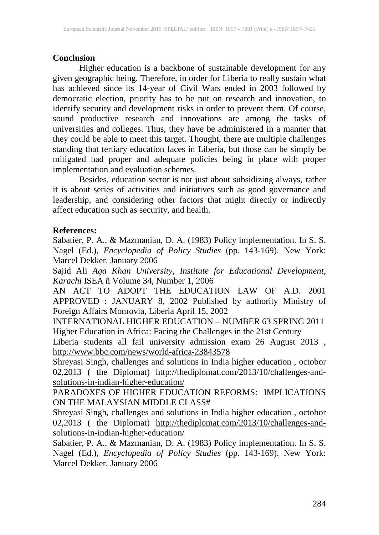## **Conclusion**

Higher education is a backbone of sustainable development for any given geographic being. Therefore, in order for Liberia to really sustain what has achieved since its 14-year of Civil Wars ended in 2003 followed by democratic election, priority has to be put on research and innovation, to identify security and development risks in order to prevent them. Of course, sound productive research and innovations are among the tasks of universities and colleges. Thus, they have be administered in a manner that they could be able to meet this target. Thought, there are multiple challenges standing that tertiary education faces in Liberia, but those can be simply be mitigated had proper and adequate policies being in place with proper implementation and evaluation schemes.

Besides, education sector is not just about subsidizing always, rather it is about series of activities and initiatives such as good governance and leadership, and considering other factors that might directly or indirectly affect education such as security, and health.

## **References:**

Sabatier, P. A., & Mazmanian, D. A. (1983) Policy implementation. In S. S. Nagel (Ed.), *Encyclopedia of Policy Studies* (pp. 143-169). New York: Marcel Dekker. January 2006

Sajid Ali *Aga Khan University, Institute for Educational Development, Karachi* ISEA ñ Volume 34, Number 1, 2006

AN ACT TO ADOPT THE EDUCATION LAW OF A.D. 2001 APPROVED : JANUARY 8, 2002 Published by authority Ministry of Foreign Affairs Monrovia, Liberia April 15, 2002

INTERNATIONAL HIGHER EDUCATION – NUMBER 63 SPRING 2011 Higher Education in Africa: Facing the Challenges in the 21st Century

Liberia students all fail university admission exam 26 August 2013 , <http://www.bbc.com/news/world-africa-23843578>

Shreyasi Singh, challenges and solutions in India higher education , octobor 02,2013 ( the Diplomat) [http://thediplomat.com/2013/10/challenges-and](http://thediplomat.com/2013/10/challenges-and-solutions-in-indian-higher-education/)[solutions-in-indian-higher-education/](http://thediplomat.com/2013/10/challenges-and-solutions-in-indian-higher-education/)

PARADOXES OF HIGHER EDUCATION REFORMS: IMPLICATIONS ON THE MALAYSIAN MIDDLE CLASS#

Shreyasi Singh, challenges and solutions in India higher education , octobor 02,2013 ( the Diplomat) [http://thediplomat.com/2013/10/challenges-and](http://thediplomat.com/2013/10/challenges-and-solutions-in-indian-higher-education/)[solutions-in-indian-higher-education/](http://thediplomat.com/2013/10/challenges-and-solutions-in-indian-higher-education/)

Sabatier, P. A., & Mazmanian, D. A. (1983) Policy implementation. In S. S. Nagel (Ed.), *Encyclopedia of Policy Studies* (pp. 143-169). New York: Marcel Dekker. January 2006